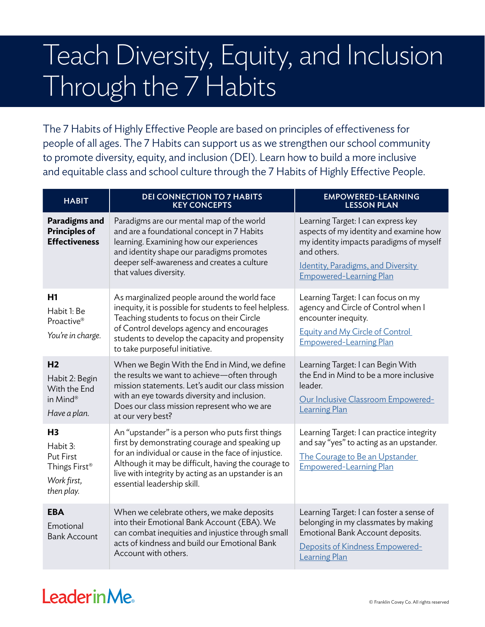## Teach Diversity, Equity, and Inclusion Through the 7 Habits

The 7 Habits of Highly Effective People are based on principles of effectiveness for people of all ages. The 7 Habits can support us as we strengthen our school community to promote diversity, equity, and inclusion (DEI). Learn how to build a more inclusive and equitable class and school culture through the 7 Habits of Highly Effective People.

| <b>HABIT</b>                                                                                             | <b>DEI CONNECTION TO 7 HABITS</b><br><b>KEY CONCEPTS</b>                                                                                                                                                                                                                                                | <b>EMPOWERED-LEARNING</b><br><b>LESSON PLAN</b>                                                                                                                                                                       |
|----------------------------------------------------------------------------------------------------------|---------------------------------------------------------------------------------------------------------------------------------------------------------------------------------------------------------------------------------------------------------------------------------------------------------|-----------------------------------------------------------------------------------------------------------------------------------------------------------------------------------------------------------------------|
| Paradigms and<br><b>Principles of</b><br><b>Effectiveness</b>                                            | Paradigms are our mental map of the world<br>and are a foundational concept in 7 Habits<br>learning. Examining how our experiences<br>and identity shape our paradigms promotes<br>deeper self-awareness and creates a culture<br>that values diversity.                                                | Learning Target: I can express key<br>aspects of my identity and examine how<br>my identity impacts paradigms of myself<br>and others.<br><b>Identity, Paradigms, and Diversity</b><br><b>Empowered-Learning Plan</b> |
| H1<br>Habit 1: Be<br>Proactive <sup>®</sup><br>You're in charge.                                         | As marginalized people around the world face<br>inequity, it is possible for students to feel helpless.<br>Teaching students to focus on their Circle<br>of Control develops agency and encourages<br>students to develop the capacity and propensity<br>to take purposeful initiative.                 | Learning Target: I can focus on my<br>agency and Circle of Control when I<br>encounter inequity.<br>Equity and My Circle of Control<br><b>Empowered-Learning Plan</b>                                                 |
| H <sub>2</sub><br>Habit 2: Begin<br>With the End<br>in Mind®<br>Have a plan.                             | When we Begin With the End in Mind, we define<br>the results we want to achieve-often through<br>mission statements. Let's audit our class mission<br>with an eye towards diversity and inclusion.<br>Does our class mission represent who we are<br>at our very best?                                  | Learning Target: I can Begin With<br>the End in Mind to be a more inclusive<br>leader.<br>Our Inclusive Classroom Empowered-<br><b>Learning Plan</b>                                                                  |
| H <sub>3</sub><br>Habit 3:<br><b>Put First</b><br>Things First <sup>®</sup><br>Work first,<br>then play. | An "upstander" is a person who puts first things<br>first by demonstrating courage and speaking up<br>for an individual or cause in the face of injustice.<br>Although it may be difficult, having the courage to<br>live with integrity by acting as an upstander is an<br>essential leadership skill. | Learning Target: I can practice integrity<br>and say "yes" to acting as an upstander.<br>The Courage to Be an Upstander<br><b>Empowered-Learning Plan</b>                                                             |
| <b>EBA</b><br>Emotional<br><b>Bank Account</b>                                                           | When we celebrate others, we make deposits<br>into their Emotional Bank Account (EBA). We<br>can combat inequities and injustice through small<br>acts of kindness and build our Emotional Bank<br>Account with others.                                                                                 | Learning Target: I can foster a sense of<br>belonging in my classmates by making<br>Emotional Bank Account deposits.<br>Deposits of Kindness Empowered-<br><b>Learning Plan</b>                                       |

## **LeaderinMe**